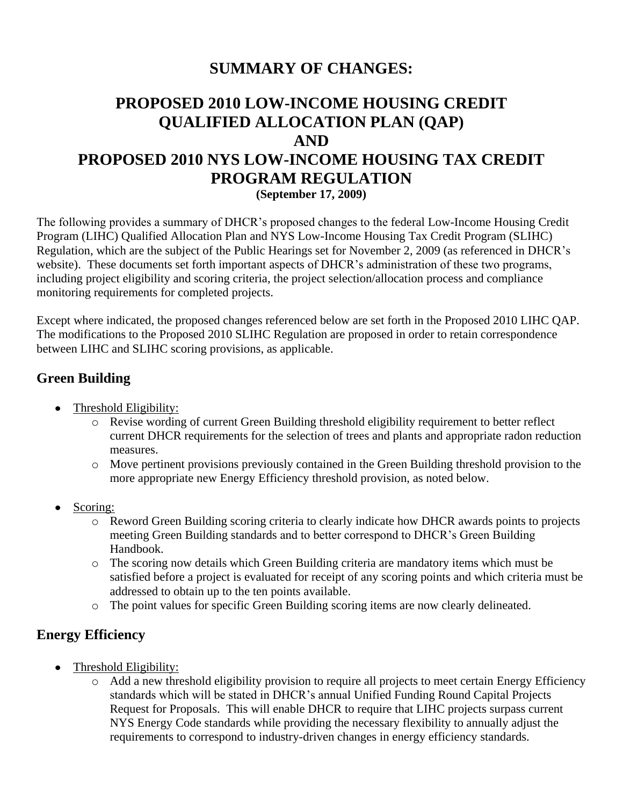## **SUMMARY OF CHANGES:**

# **PROPOSED 2010 LOW-INCOME HOUSING CREDIT QUALIFIED ALLOCATION PLAN (QAP) AND PROPOSED 2010 NYS LOW-INCOME HOUSING TAX CREDIT PROGRAM REGULATION**

**(September 17, 2009)**

The following provides a summary of DHCR's proposed changes to the federal Low-Income Housing Credit Program (LIHC) Qualified Allocation Plan and NYS Low-Income Housing Tax Credit Program (SLIHC) Regulation, which are the subject of the Public Hearings set for November 2, 2009 (as referenced in DHCR's website). These documents set forth important aspects of DHCR's administration of these two programs, including project eligibility and scoring criteria, the project selection/allocation process and compliance monitoring requirements for completed projects.

Except where indicated, the proposed changes referenced below are set forth in the Proposed 2010 LIHC QAP. The modifications to the Proposed 2010 SLIHC Regulation are proposed in order to retain correspondence between LIHC and SLIHC scoring provisions, as applicable.

#### **Green Building**

- Threshold Eligibility:
	- o Revise wording of current Green Building threshold eligibility requirement to better reflect current DHCR requirements for the selection of trees and plants and appropriate radon reduction measures.
	- o Move pertinent provisions previously contained in the Green Building threshold provision to the more appropriate new Energy Efficiency threshold provision, as noted below.
- Scoring:
	- o Reword Green Building scoring criteria to clearly indicate how DHCR awards points to projects meeting Green Building standards and to better correspond to DHCR's Green Building Handbook.
	- o The scoring now details which Green Building criteria are mandatory items which must be satisfied before a project is evaluated for receipt of any scoring points and which criteria must be addressed to obtain up to the ten points available.
	- o The point values for specific Green Building scoring items are now clearly delineated.

### **Energy Efficiency**

- Threshold Eligibility:
	- o Add a new threshold eligibility provision to require all projects to meet certain Energy Efficiency standards which will be stated in DHCR's annual Unified Funding Round Capital Projects Request for Proposals. This will enable DHCR to require that LIHC projects surpass current NYS Energy Code standards while providing the necessary flexibility to annually adjust the requirements to correspond to industry-driven changes in energy efficiency standards.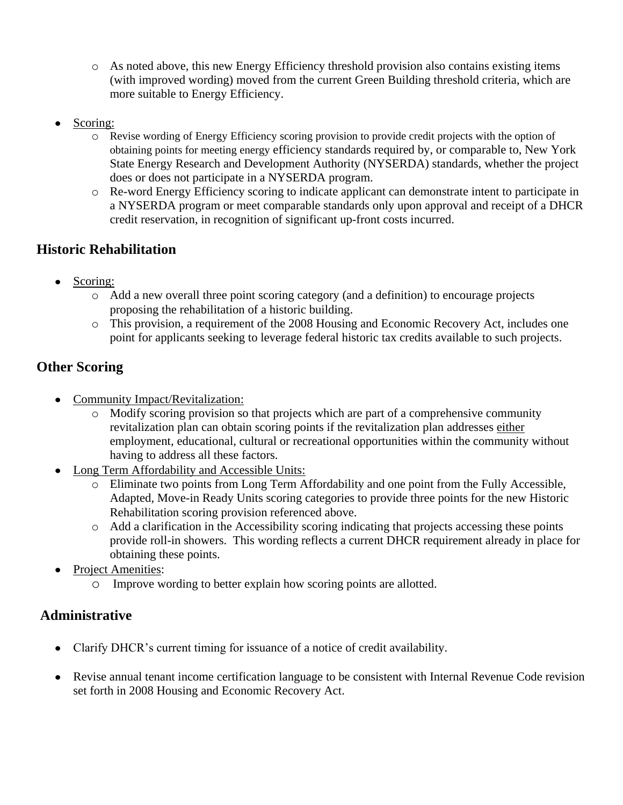- o As noted above, this new Energy Efficiency threshold provision also contains existing items (with improved wording) moved from the current Green Building threshold criteria, which are more suitable to Energy Efficiency.
- Scoring:
	- o Revise wording of Energy Efficiency scoring provision to provide credit projects with the option of obtaining points for meeting energy efficiency standards required by, or comparable to, New York State Energy Research and Development Authority (NYSERDA) standards, whether the project does or does not participate in a NYSERDA program.
	- o Re-word Energy Efficiency scoring to indicate applicant can demonstrate intent to participate in a NYSERDA program or meet comparable standards only upon approval and receipt of a DHCR credit reservation, in recognition of significant up-front costs incurred.

## **Historic Rehabilitation**

- Scoring:
	- o Add a new overall three point scoring category (and a definition) to encourage projects proposing the rehabilitation of a historic building.
	- o This provision, a requirement of the 2008 Housing and Economic Recovery Act, includes one point for applicants seeking to leverage federal historic tax credits available to such projects.

## **Other Scoring**

- Community Impact/Revitalization:
	- o Modify scoring provision so that projects which are part of a comprehensive community revitalization plan can obtain scoring points if the revitalization plan addresses either employment, educational, cultural or recreational opportunities within the community without having to address all these factors.
- Long Term Affordability and Accessible Units:
	- o Eliminate two points from Long Term Affordability and one point from the Fully Accessible, Adapted, Move-in Ready Units scoring categories to provide three points for the new Historic Rehabilitation scoring provision referenced above.
	- o Add a clarification in the Accessibility scoring indicating that projects accessing these points provide roll-in showers. This wording reflects a current DHCR requirement already in place for obtaining these points.
- **Project Amenities:** 
	- o Improve wording to better explain how scoring points are allotted.

### **Administrative**

- Clarify DHCR's current timing for issuance of a notice of credit availability.
- Revise annual tenant income certification language to be consistent with Internal Revenue Code revision  $\bullet$ set forth in 2008 Housing and Economic Recovery Act.